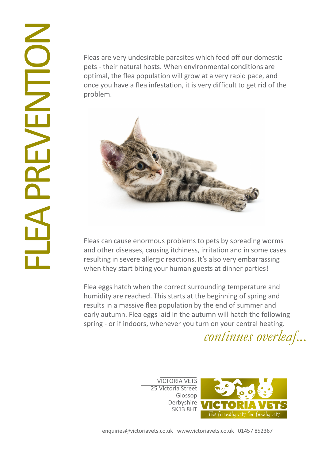Fleas are very undesirable parasites which feed off our domestic pets - their natural hosts. When environmental conditions are optimal, the flea population will grow at a very rapid pace, and once you have a flea infestation, it is very difficult to get rid of the problem.



Fleas can cause enormous problems to pets by spreading worms and other diseases, causing itchiness, irritation and in some cases resulting in severe allergic reactions. It's also very embarrassing when they start biting your human guests at dinner parties!

Flea eggs hatch when the correct surrounding temperature and humidity are reached. This starts at the beginning of spring and results in a massive flea population by the end of summer and early autumn. Flea eggs laid in the autumn will hatch the following spring - or if indoors, whenever you turn on your central heating.

continues overleaf...

VICTORIA VETS 25 Victoria Street Glossop Derbyshire SK13 8HT